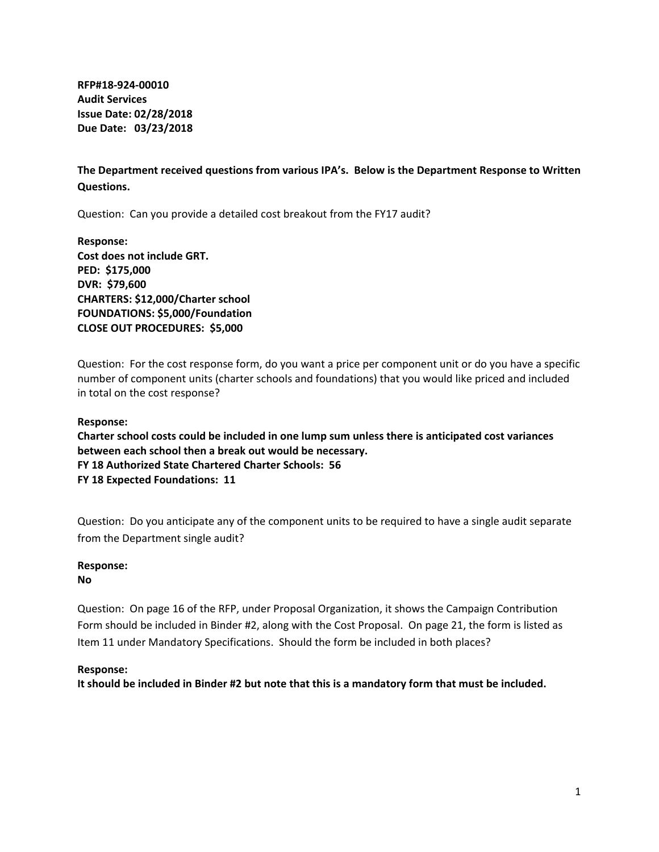**RFP#18‐924‐00010 Audit Services Issue Date: 02/28/2018 Due Date: 03/23/2018**

**The Department received questions from various IPA's. Below is the Department Response to Written Questions.**

Question: Can you provide a detailed cost breakout from the FY17 audit?

**Response: Cost does not include GRT. PED: \$175,000 DVR: \$79,600 CHARTERS: \$12,000/Charter school FOUNDATIONS: \$5,000/Foundation CLOSE OUT PROCEDURES: \$5,000**

Question: For the cost response form, do you want a price per component unit or do you have a specific number of component units (charter schools and foundations) that you would like priced and included in total on the cost response?

#### **Response:**

**Charter school costs could be included in one lump sum unless there is anticipated cost variances between each school then a break out would be necessary. FY 18 Authorized State Chartered Charter Schools: 56 FY 18 Expected Foundations: 11**

Question: Do you anticipate any of the component units to be required to have a single audit separate from the Department single audit?

# **Response:**

**No**

Question: On page 16 of the RFP, under Proposal Organization, it shows the Campaign Contribution Form should be included in Binder #2, along with the Cost Proposal. On page 21, the form is listed as Item 11 under Mandatory Specifications. Should the form be included in both places?

# **Response:**

It should be included in Binder #2 but note that this is a mandatory form that must be included.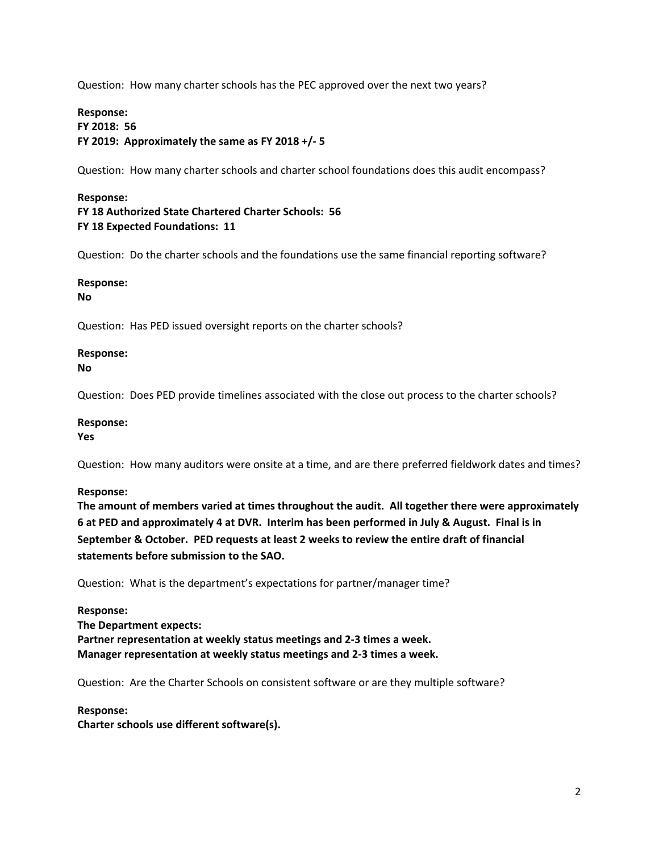Question: How many charter schools has the PEC approved over the next two years?

# **Response: FY 2018: 56 FY 2019: Approximately the same as FY 2018 +/‐ 5**

Question: How many charter schools and charter school foundations does this audit encompass?

# **Response: FY 18 Authorized State Chartered Charter Schools: 56 FY 18 Expected Foundations: 11**

Question: Do the charter schools and the foundations use the same financial reporting software?

# **Response:**

**No**

Question: Has PED issued oversight reports on the charter schools?

# **Response:**

**No**

Question: Does PED provide timelines associated with the close out process to the charter schools?

# **Response:**

**Yes**

Question: How many auditors were onsite at a time, and are there preferred fieldwork dates and times?

# **Response:**

**The amount of members varied at times throughout the audit. All together there were approximately** 6 at PED and approximately 4 at DVR. Interim has been performed in July & August. Final is in **September & October. PED requests at least 2 weeks to review the entire draft of financial statements before submission to the SAO.** 

Question: What is the department's expectations for partner/manager time?

# **Response: The Department expects: Partner representation at weekly status meetings and 2‐3 times a week. Manager representation at weekly status meetings and 2‐3 times a week.**

Question: Are the Charter Schools on consistent software or are they multiple software?

# **Response:**

**Charter schools use different software(s).**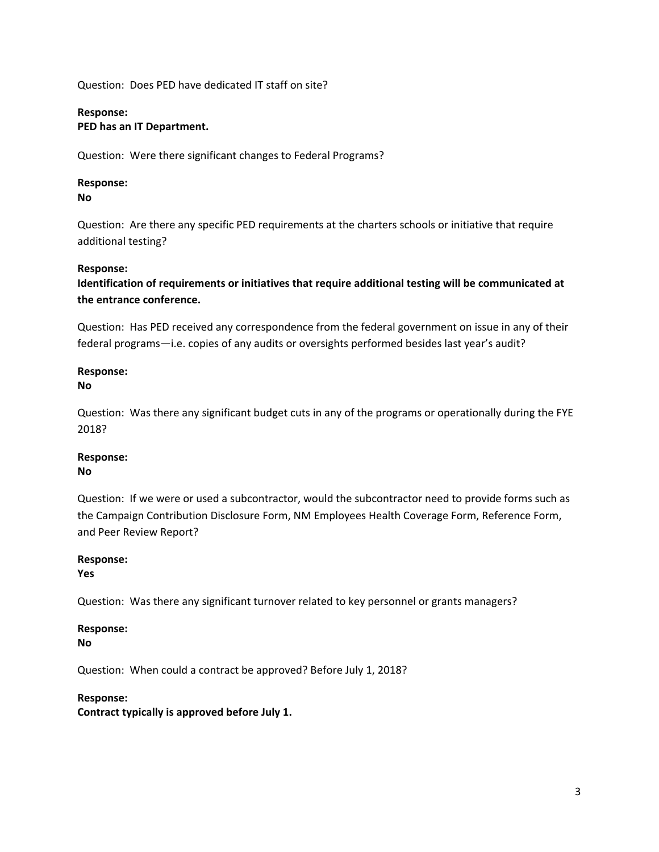Question: Does PED have dedicated IT staff on site?

# **Response:**

# **PED has an IT Department.**

Question: Were there significant changes to Federal Programs?

# **Response:**

**No**

Question: Are there any specific PED requirements at the charters schools or initiative that require additional testing?

# **Response:**

**Identification of requirements or initiatives that require additional testing will be communicated at the entrance conference.** 

Question: Has PED received any correspondence from the federal government on issue in any of their federal programs—i.e. copies of any audits or oversights performed besides last year's audit?

#### **Response: No**

Question: Was there any significant budget cuts in any of the programs or operationally during the FYE 2018?

# **Response:**

# **No**

Question: If we were or used a subcontractor, would the subcontractor need to provide forms such as the Campaign Contribution Disclosure Form, NM Employees Health Coverage Form, Reference Form, and Peer Review Report?

# **Response:**

**Yes**

Question: Was there any significant turnover related to key personnel or grants managers?

# **Response:**

**No**

Question: When could a contract be approved? Before July 1, 2018?

# **Response:**

**Contract typically is approved before July 1.**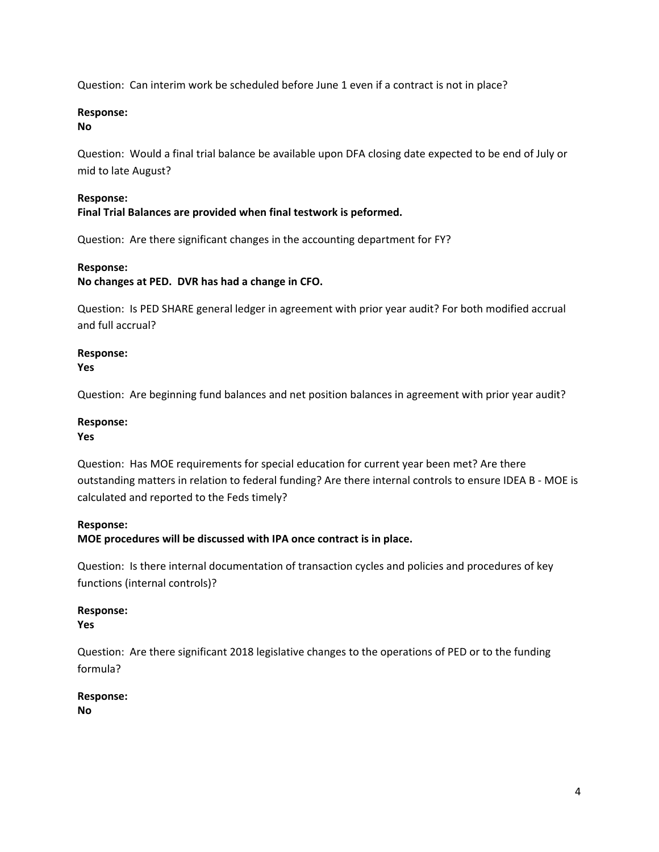Question: Can interim work be scheduled before June 1 even if a contract is not in place?

# **Response:**

# **No**

Question: Would a final trial balance be available upon DFA closing date expected to be end of July or mid to late August?

# **Response:**

**Final Trial Balances are provided when final testwork is peformed.** 

Question: Are there significant changes in the accounting department for FY?

# **Response:**

**No changes at PED. DVR has had a change in CFO.** 

Question: Is PED SHARE general ledger in agreement with prior year audit? For both modified accrual and full accrual?

# **Response:**

**Yes**

Question: Are beginning fund balances and net position balances in agreement with prior year audit?

# **Response:**

# **Yes**

Question: Has MOE requirements for special education for current year been met? Are there outstanding matters in relation to federal funding? Are there internal controls to ensure IDEA B ‐ MOE is calculated and reported to the Feds timely?

# **Response:**

**MOE procedures will be discussed with IPA once contract is in place.** 

Question: Is there internal documentation of transaction cycles and policies and procedures of key functions (internal controls)?

# **Response:**

**Yes**

Question: Are there significant 2018 legislative changes to the operations of PED or to the funding formula?

# **Response:**

**No**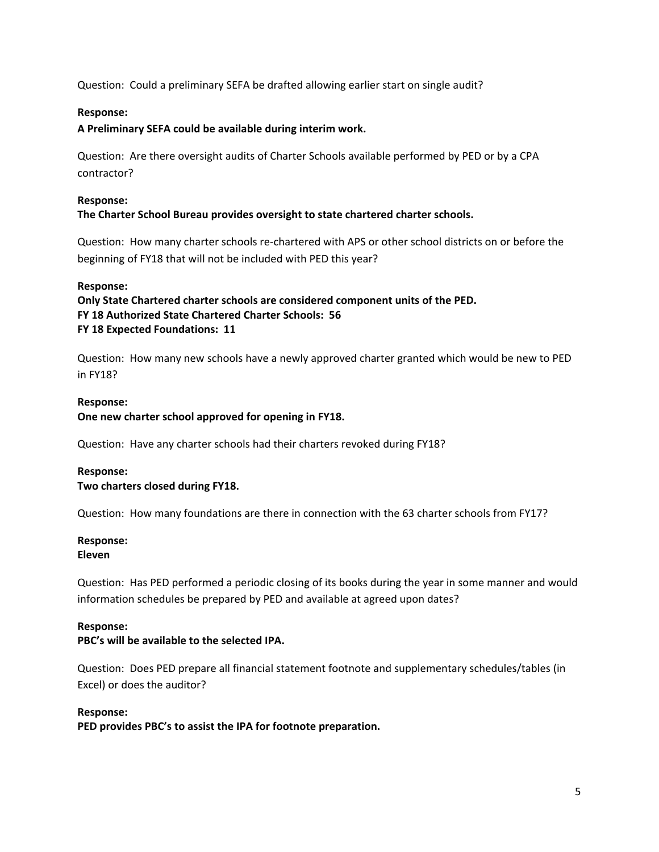Question: Could a preliminary SEFA be drafted allowing earlier start on single audit?

# **Response:**

# **A Preliminary SEFA could be available during interim work.**

Question: Are there oversight audits of Charter Schools available performed by PED or by a CPA contractor?

# **Response:**

# **The Charter School Bureau provides oversight to state chartered charter schools.**

Question: How many charter schools re‐chartered with APS or other school districts on or before the beginning of FY18 that will not be included with PED this year?

# **Response:**

**Only State Chartered charter schools are considered component units of the PED. FY 18 Authorized State Chartered Charter Schools: 56 FY 18 Expected Foundations: 11**

Question: How many new schools have a newly approved charter granted which would be new to PED in FY18?

# **Response:**

**One new charter school approved for opening in FY18.**

Question: Have any charter schools had their charters revoked during FY18?

# **Response:**

# **Two charters closed during FY18.**

Question: How many foundations are there in connection with the 63 charter schools from FY17?

# **Response:**

# **Eleven**

Question: Has PED performed a periodic closing of its books during the year in some manner and would information schedules be prepared by PED and available at agreed upon dates?

# **Response:**

# **PBC's will be available to the selected IPA.**

Question: Does PED prepare all financial statement footnote and supplementary schedules/tables (in Excel) or does the auditor?

# **Response:**

**PED provides PBC's to assist the IPA for footnote preparation.**